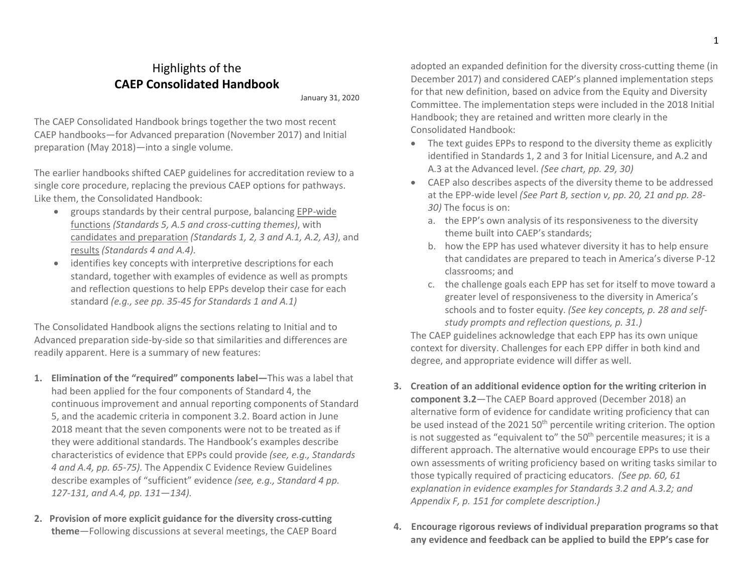## Highlights of the CAEP Consolidated Handbook

January 31, 2020

The CAEP Consolidated Handbook brings together the two most recent CAEP handbooks—for Advanced preparation (November 2017) and Initial preparation (May 2018)—into a single volume.

The earlier handbooks shifted CAEP guidelines for accreditation review to a single core procedure, replacing the previous CAEP options for pathways. Like them, the Consolidated Handbook:

- groups standards by their central purpose, balancing EPP-wide functions (Standards 5, A.5 and cross-cutting themes), with candidates and preparation (Standards 1, 2, 3 and A.1, A.2, A3), and results (Standards 4 and A.4).
- identifies key concepts with interpretive descriptions for each standard, together with examples of evidence as well as prompts and reflection questions to help EPPs develop their case for each standard (e.g., see pp. 35-45 for Standards 1 and A.1)

The Consolidated Handbook aligns the sections relating to Initial and to Advanced preparation side-by-side so that similarities and differences are readily apparent. Here is a summary of new features:

- 1. Elimination of the "required" components label—This was a label that had been applied for the four components of Standard 4, the continuous improvement and annual reporting components of Standard 5, and the academic criteria in component 3.2. Board action in June 2018 meant that the seven components were not to be treated as if they were additional standards. The Handbook's examples describe characteristics of evidence that EPPs could provide (see, e.g., Standards 4 and A.4, pp. 65-75). The Appendix C Evidence Review Guidelines describe examples of "sufficient" evidence (see, e.g., Standard 4 pp. 127-131, and A.4, pp. 131—134).
- 2. Provision of more explicit guidance for the diversity cross-cutting theme—Following discussions at several meetings, the CAEP Board

adopted an expanded definition for the diversity cross-cutting theme (in December 2017) and considered CAEP's planned implementation steps for that new definition, based on advice from the Equity and Diversity Committee. The implementation steps were included in the 2018 Initial Handbook; they are retained and written more clearly in the Consolidated Handbook:

- The text guides EPPs to respond to the diversity theme as explicitly identified in Standards 1, 2 and 3 for Initial Licensure, and A.2 and A.3 at the Advanced level. (See chart, pp. 29, 30)
- CAEP also describes aspects of the diversity theme to be addressed at the EPP-wide level (See Part B, section v, pp. 20, 21 and pp. 28- 30) The focus is on:
	- a. the EPP's own analysis of its responsiveness to the diversity theme built into CAEP's standards;
	- b. how the EPP has used whatever diversity it has to help ensure that candidates are prepared to teach in America's diverse P-12 classrooms; and
	- c. the challenge goals each EPP has set for itself to move toward a greater level of responsiveness to the diversity in America's schools and to foster equity. (See key concepts, p. 28 and selfstudy prompts and reflection questions, p. 31.)

The CAEP guidelines acknowledge that each EPP has its own unique context for diversity. Challenges for each EPP differ in both kind and degree, and appropriate evidence will differ as well.

- 3. Creation of an additional evidence option for the writing criterion in component 3.2—The CAEP Board approved (December 2018) an alternative form of evidence for candidate writing proficiency that can be used instead of the 2021 50<sup>th</sup> percentile writing criterion. The option is not suggested as "equivalent to" the  $50<sup>th</sup>$  percentile measures; it is a different approach. The alternative would encourage EPPs to use their own assessments of writing proficiency based on writing tasks similar to those typically required of practicing educators. (See pp. 60, 61 explanation in evidence examples for Standards 3.2 and A.3.2; and Appendix F, p. 151 for complete description.)
- 4. Encourage rigorous reviews of individual preparation programs so that any evidence and feedback can be applied to build the EPP's case for